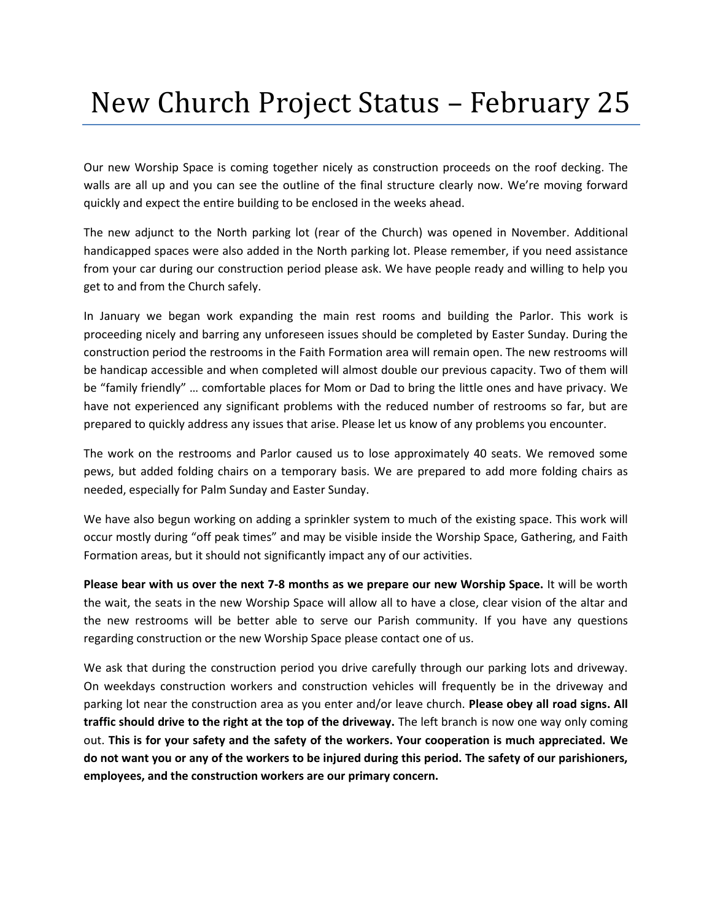## New Church Project Status – February 25

Our new Worship Space is coming together nicely as construction proceeds on the roof decking. The walls are all up and you can see the outline of the final structure clearly now. We're moving forward quickly and expect the entire building to be enclosed in the weeks ahead.

The new adjunct to the North parking lot (rear of the Church) was opened in November. Additional handicapped spaces were also added in the North parking lot. Please remember, if you need assistance from your car during our construction period please ask. We have people ready and willing to help you get to and from the Church safely.

In January we began work expanding the main rest rooms and building the Parlor. This work is proceeding nicely and barring any unforeseen issues should be completed by Easter Sunday. During the construction period the restrooms in the Faith Formation area will remain open. The new restrooms will be handicap accessible and when completed will almost double our previous capacity. Two of them will be "family friendly" … comfortable places for Mom or Dad to bring the little ones and have privacy. We have not experienced any significant problems with the reduced number of restrooms so far, but are prepared to quickly address any issues that arise. Please let us know of any problems you encounter.

The work on the restrooms and Parlor caused us to lose approximately 40 seats. We removed some pews, but added folding chairs on a temporary basis. We are prepared to add more folding chairs as needed, especially for Palm Sunday and Easter Sunday.

We have also begun working on adding a sprinkler system to much of the existing space. This work will occur mostly during "off peak times" and may be visible inside the Worship Space, Gathering, and Faith Formation areas, but it should not significantly impact any of our activities.

**Please bear with us over the next 7-8 months as we prepare our new Worship Space.** It will be worth the wait, the seats in the new Worship Space will allow all to have a close, clear vision of the altar and the new restrooms will be better able to serve our Parish community. If you have any questions regarding construction or the new Worship Space please contact one of us.

We ask that during the construction period you drive carefully through our parking lots and driveway. On weekdays construction workers and construction vehicles will frequently be in the driveway and parking lot near the construction area as you enter and/or leave church. **Please obey all road signs. All traffic should drive to the right at the top of the driveway.** The left branch is now one way only coming out. **This is for your safety and the safety of the workers. Your cooperation is much appreciated. We do not want you or any of the workers to be injured during this period. The safety of our parishioners, employees, and the construction workers are our primary concern.**